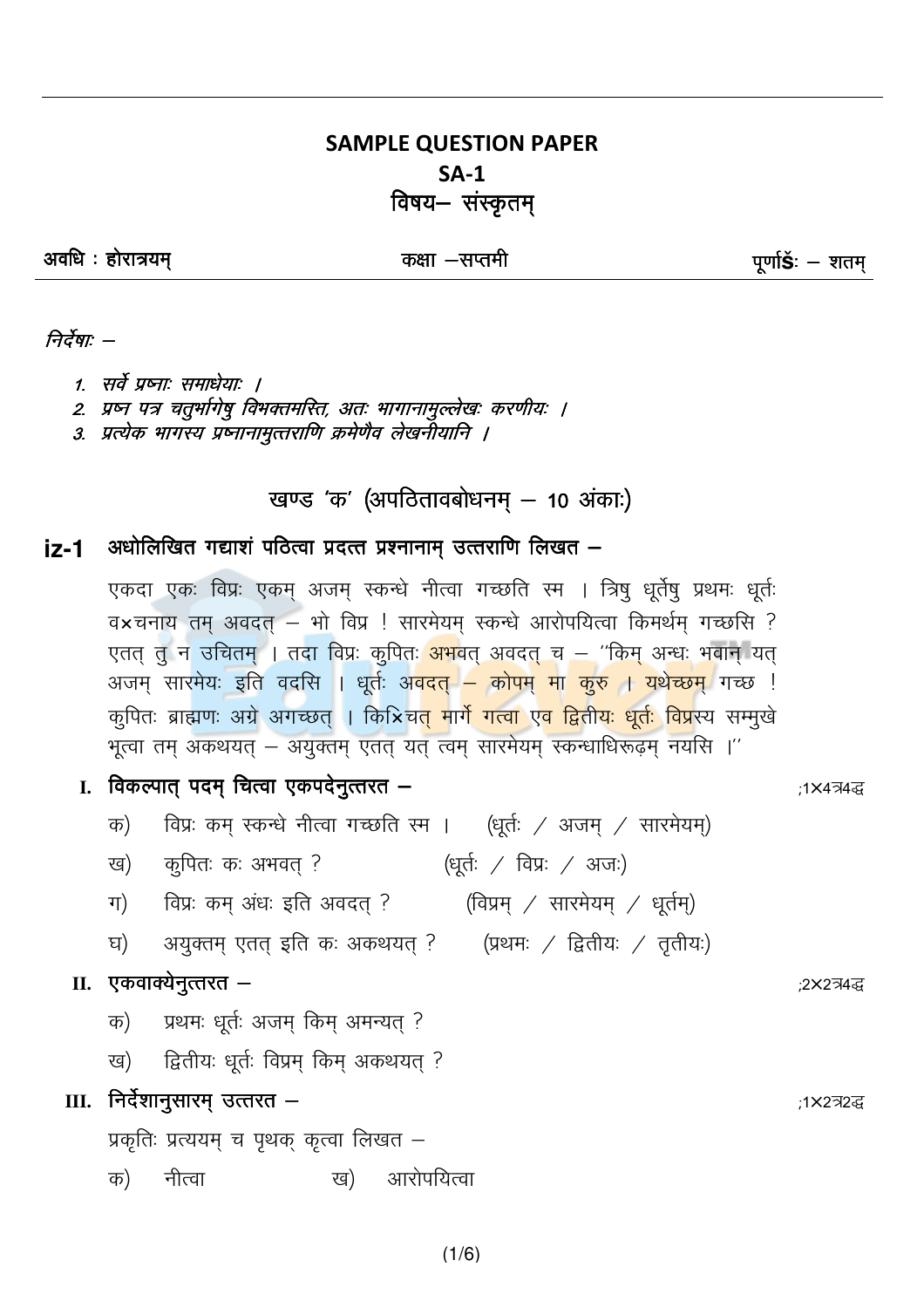### **SAMPLE QUESTION PAPER**  $SA-1$ विषय– संस्कृतम्

अवधि : होरात्रयम्

#### कक्षा –सप्तमी

पूर्णा**Š**: — शतम्

#### निर्देषाः –

- 1. सर्वे प्रष्नाः समाधेयाः ।
- 2. प्रष्न पत्र चतुर्भागेषु विभक्तमस्ति, अतः भागानामुल्लेखः करणीयः ।
- 3. प्रत्येक भागस्य प्रष्नानामुत्तराणि क्रमेणैव लेखनीयानि ।

### खण्ड 'क' (अपठितावबोधनम् – 10 अंकाः)

#### अधोलिखित गद्याशं पठित्वा प्रदत्त प्रश्नानाम उत्तराणि लिखत – iz-1

एकदा एकः विप्रः एकम् अजम् स्कन्धे नीत्वा गच्छति स्म । त्रिषु धूर्तेषु प्रथमः धूर्तः व×चनाय तम अवदत – भो विप्र ! सारमेयम स्कन्धे आरोपयित्वा किमर्थम गच्छसि ? एतत् तू न उचितम् । तदा विप्रः कृपित<mark>ः अभ</mark>वत् अवदत् च – ''किम् अन्धः भवान् यत् अजम् सारमेयः इति वदसि । धूर्तः अ<mark>वदत् – कोपम् मा कुरु । यथेच्छम्</mark> गच्छ ! कुपितः ब्राह्मणः अग्रे अगच्छत् । कि×िच<mark>त् मार्गे गत्वा एव द्वितीयः धूर्तः विप्र</mark>स्य सम्मुखे भूत्वा तम् अकथयत् – अयुक्तम् एतत् यत् त्वम् सारमेयम् स्कन्धाधिरूढ़म् नयसि ।''

- I. विकल्पात् पदम् चित्वा एकपदेनुत्तरत
	- विप्रः कम स्कन्धे नीत्वा गच्छति स्म । (धर्तः / अजम / सारमेयम) क)
	- (धूर्तः / विप्रः / अजः) कुपितः कः अभवत् ? ख)
	- विप्रः कम् अंधः इति अवदत् ? (विप्रम् / सारमेयम् / धूर्तम्) ग)
	- अयुक्तम् एतत् इति कः अकथयत् ? (प्रथमः / द्वितीयः / तृतीयः) घ)

#### II. एकवाक्येनुत्तरत –

- प्रथमः धूर्तः अजम् किम् अमन्यत् ? क)
- द्वितीयः धर्तः विप्रम किम अकथयत ? ख)

### III. निर्देशानुसारम् उत्तरत –

प्रकृतिः प्रत्ययम् च पृथक् कृत्वा लिखत –

नीत्वा ख) आरोपयित्वा क)

 $(1/6)$ 

:1×4त्र4द्ध

;2×2त्र4द्ध

:1×2त्र2द्ध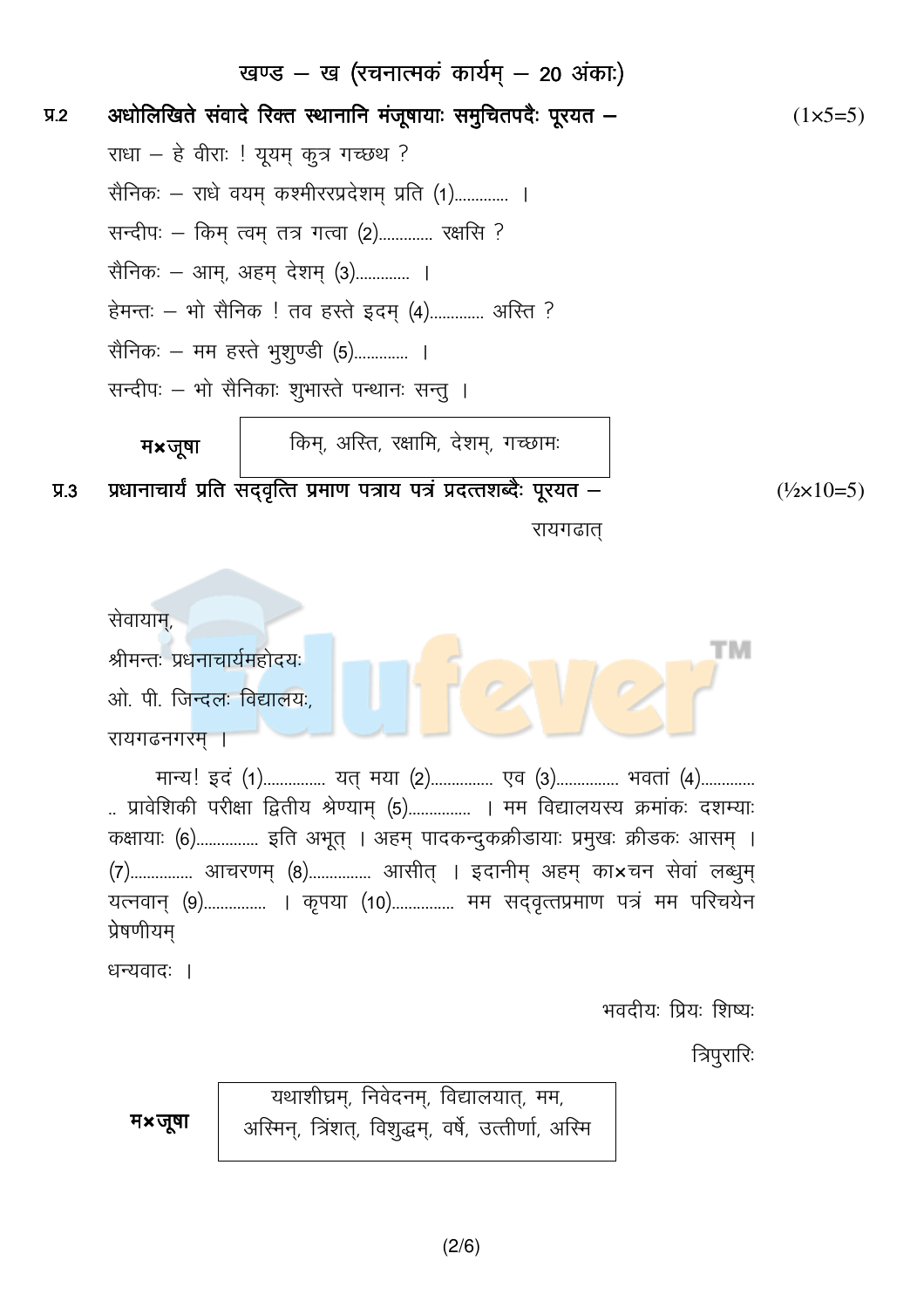|           |                                                                                                                            |  | खण्ड – ख (रचनात्मकं कार्यम् – 20 अंका:)                                 |  |                             |  |  |  |  |
|-----------|----------------------------------------------------------------------------------------------------------------------------|--|-------------------------------------------------------------------------|--|-----------------------------|--|--|--|--|
| $\Psi$ .2 | अधोलिखिते संवादे रिक्त स्थानानि मंजूषायाः समुचितपदैः पूरयत –                                                               |  |                                                                         |  |                             |  |  |  |  |
|           | राधा – हे वीराः ! यूयम् कुत्र गच्छथ ?                                                                                      |  |                                                                         |  |                             |  |  |  |  |
|           | सैनिकः — राधे वयम् कश्मीररप्रदेशम् प्रति (1) ।                                                                             |  |                                                                         |  |                             |  |  |  |  |
|           | सन्दीपः – किम् त्वम् तत्र गत्वा (2) रक्षसि ?                                                                               |  |                                                                         |  |                             |  |  |  |  |
|           | सैनिकः – आम्, अहम् देशम् (3) ।                                                                                             |  |                                                                         |  |                             |  |  |  |  |
|           | हेमन्तः – भो सैनिक ! तव हस्ते इदम् (4) अस्ति ?                                                                             |  |                                                                         |  |                             |  |  |  |  |
|           | सैनिकः – मम हस्ते भुशुण्डी (5) ।                                                                                           |  |                                                                         |  |                             |  |  |  |  |
|           | सन्दीपः – भो सैनिकाः शुभास्ते पन्थानः सन्तु ।                                                                              |  |                                                                         |  |                             |  |  |  |  |
|           | म×जूषा                                                                                                                     |  | किम्, अस्ति, रक्षामि, देशम्, गच्छामः                                    |  |                             |  |  |  |  |
| $\Psi$ .3 |                                                                                                                            |  | प्रधानाचार्यं प्रति सद्वृत्ति प्रमाण पत्राय पत्रं प्रदत्तशब्दैः पूरयत – |  | $(\frac{1}{2} \times 10=5)$ |  |  |  |  |
|           | रायगढात्                                                                                                                   |  |                                                                         |  |                             |  |  |  |  |
|           |                                                                                                                            |  |                                                                         |  |                             |  |  |  |  |
|           |                                                                                                                            |  |                                                                         |  |                             |  |  |  |  |
|           | सेवायाम्,<br>TМ                                                                                                            |  |                                                                         |  |                             |  |  |  |  |
|           | श्रीमन्तः प्रधनाचार्यमहोदयः                                                                                                |  |                                                                         |  |                             |  |  |  |  |
|           | ओ. पी. जिन्दलः विद्यालयः,                                                                                                  |  |                                                                         |  |                             |  |  |  |  |
|           | रायगढनगरम् ।                                                                                                               |  |                                                                         |  |                             |  |  |  |  |
|           | मान्य! इदं (1) यत् मया (2) एव (3) भवतां (4)<br>प्रावेशिकी परीक्षा द्वितीय श्रेण्याम् (5) । मम विद्यालयस्य क्रमांकः दशम्याः |  |                                                                         |  |                             |  |  |  |  |
|           | कक्षायाः (6) इति अभूत् । अहम् पादकन्दुकक्रीडायाः प्रमुखः क्रीडकः आसम् ।                                                    |  |                                                                         |  |                             |  |  |  |  |
|           | (7) आचरणम् (8) आसीत् । इदानीम् अहम् का×चन सेवां लब्धुम्                                                                    |  |                                                                         |  |                             |  |  |  |  |
|           | यत्नवान् (9)   । कृपया (10)   मम सद्वृत्तप्रमाण पत्रं मम परिचयेन<br>प्रेषणीयम्                                             |  |                                                                         |  |                             |  |  |  |  |
|           |                                                                                                                            |  |                                                                         |  |                             |  |  |  |  |
|           | धन्यवादः ।<br>भवदीयः प्रियः शिष्यः                                                                                         |  |                                                                         |  |                             |  |  |  |  |
|           |                                                                                                                            |  |                                                                         |  |                             |  |  |  |  |
|           | त्रिपुरारिः<br>यथाशीघ्रम्, निवेदनम्, विद्यालयात्, मम,                                                                      |  |                                                                         |  |                             |  |  |  |  |
|           | म×जूषा                                                                                                                     |  |                                                                         |  |                             |  |  |  |  |
|           |                                                                                                                            |  | अस्मिन्, त्रिंशत्, विशुद्धम्, वर्षे, उत्तीर्णा, अस्मि                   |  |                             |  |  |  |  |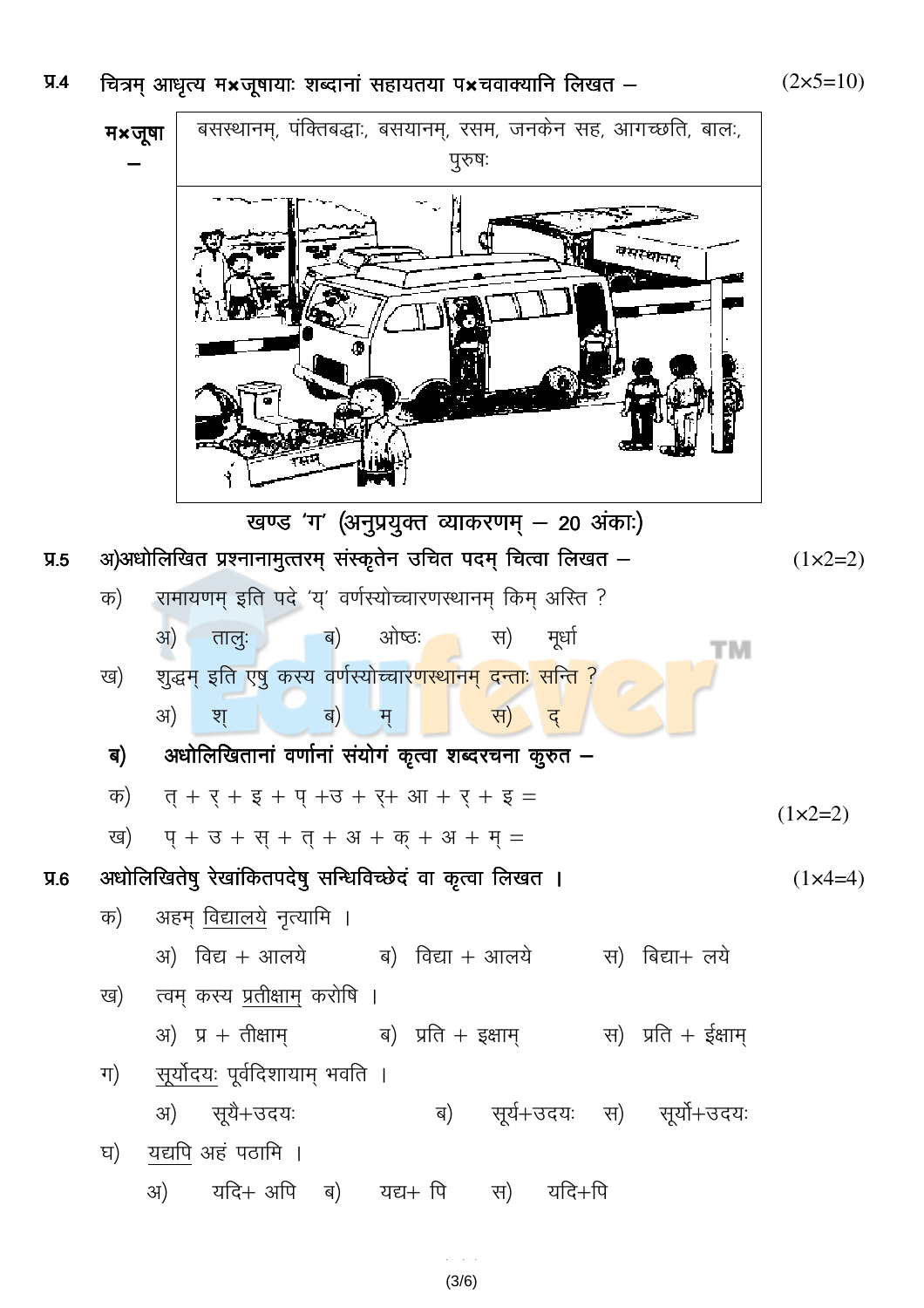## प्र.4 चित्रम् आधृत्य म<mark>×</mark>जूषायाः शब्दानां सहायतया प×चवाक्यानि लिखत —

बसस्थानम्, पंक्तिबद्धाः, बसयानम्, रसम, जनकेन सह, आगच्छति, बालः,  $4 \times 7$ षा पुरुषः  $\overline{\phantom{0}}$ बसरकानम् खण्ड 'ग' (अनुप्रयुक्त व्याकरणम् – 20 अंकाः) प्र.5 अ)अधोलिखित प्रश्नानामुत्तरम् संस्कृतेन उचित पदम् चित्वा लिखत — (1×2=2) क) रामायणम् इति पदे 'य्' वर्णस्योच्चारणस्थानम् किम् अस्ति ? अ) तालुः ब) ओष्ठः स) मूर्धा тм ख) शुद्धम् इति एषु कस्य वर्णस्योच्चार<mark>णस्थानम् दन्ताः सन्ति ?</mark> अ) श् ब) म् स) <mark>र</mark>ा ब) अधोलिखितानां वर्णानां संयोगं कृत्वा शब्दरचना कुरुत —  $\bar{p}$   $\bar{q} + \bar{q} + \bar{q} + \bar{q} + \bar{q} + \bar{q} + \bar{q} + \bar{q} + \bar{q} =$  $(1 \times 2=2)$ ख) प्+ उ + स् + त् + अ + क् + अ + म् = प्र.6 अधोलिखितेषु रेखांकितपदेषु सन्धिविच्छेदं वा कृत्वा लिखत । (1x4=4) क) अहम् <u>विद्यालये</u> नृत्यामि । अ) विद्य + आलये ब) विद्या + आलये स) बिद्या+ लये ख) म् कस्य <u>प्रतीक्षाम्</u> करोषि ।  $\overline{3}$ अ) प्र + तीक्षाम् ब) प्रति + इक्षाम् स) प्रति + ईक्षाम् ग) <u>सूर्योदयः</u> पूर्वदिशायाम् भवति ।  $\langle 3I \rangle$  सूर्ये+उदयः ब) सूर्य+उदयः स) सूर्यो+उदयः घ) यद्यपि अहं पठामि ।  $\langle 3I \rangle$  यदि+ अपि ब) यद्य+ पि स) यदि+पि

> (3/6)  $(3/6)$

 $(2\times5=10)$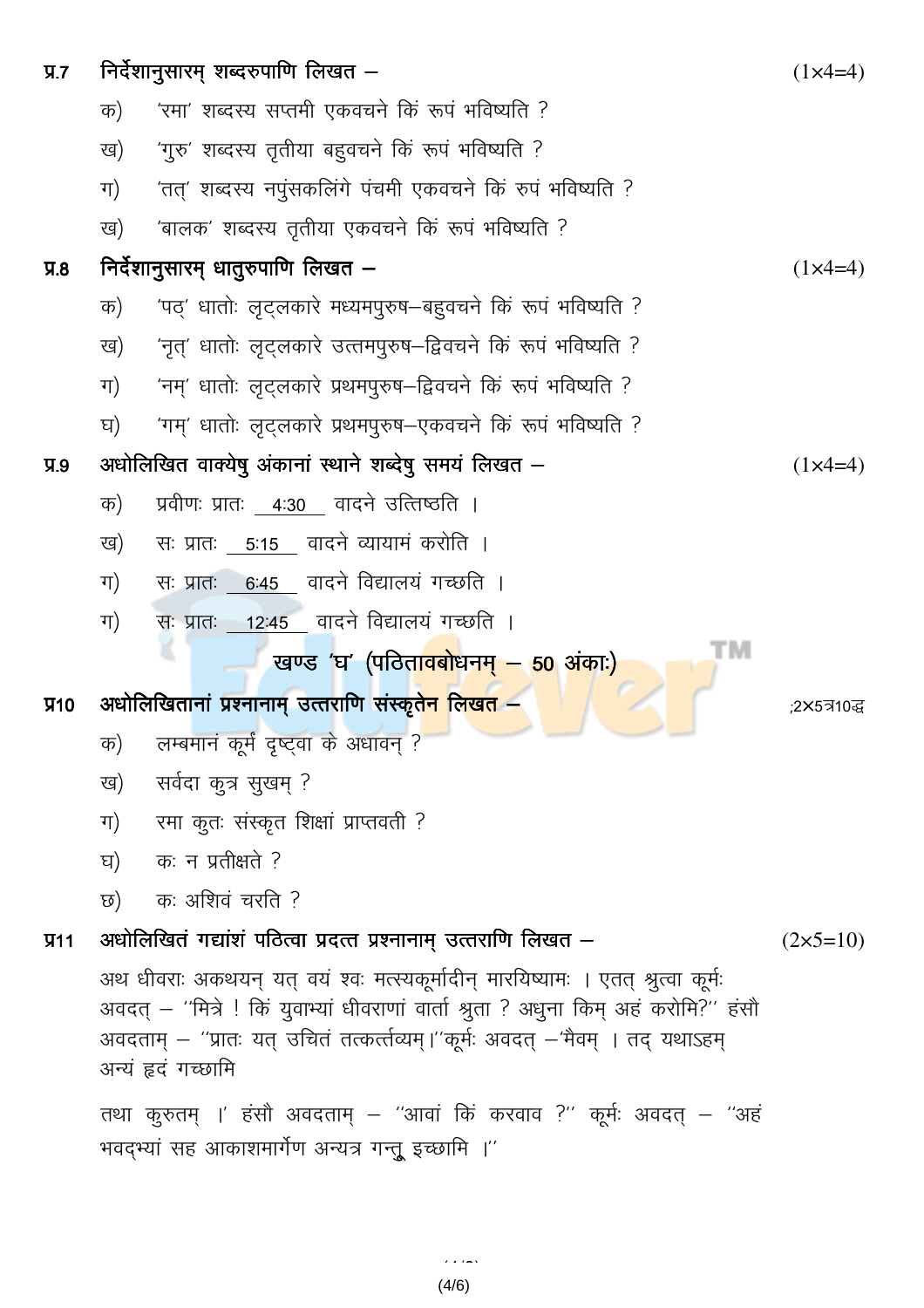| $\Psi$ .7  | निर्देशानुसारम् शब्दरुपाणि लिखत –                                                                                                                                                                                                                                                     |                                                                            |                     |  |  |  |
|------------|---------------------------------------------------------------------------------------------------------------------------------------------------------------------------------------------------------------------------------------------------------------------------------------|----------------------------------------------------------------------------|---------------------|--|--|--|
|            | 'रमा' शब्दस्य सप्तमी एकवचने किं रूपं भविष्यति ?<br>क)                                                                                                                                                                                                                                 |                                                                            |                     |  |  |  |
|            | ख)                                                                                                                                                                                                                                                                                    | 'गुरु' शब्दस्य तृतीया बहुवचने किं रूपं भविष्यति ?                          |                     |  |  |  |
|            | ग)                                                                                                                                                                                                                                                                                    | 'तत्' शब्दस्य नपुंसकलिंगे पंचमी एकवचने किं रुपं भविष्यति ?                 |                     |  |  |  |
|            | ख)                                                                                                                                                                                                                                                                                    | 'बालक' शब्दस्य तृतीया एकवचने किं रूपं भविष्यति ?                           |                     |  |  |  |
| 9.8        |                                                                                                                                                                                                                                                                                       | निर्देशानुसारम् धातुरुपाणि लिखत –                                          |                     |  |  |  |
|            | क)                                                                                                                                                                                                                                                                                    | 'पठ्' धातोः लृट्लकारे मध्यमपुरुष—बहुवचने किं रूपं भविष्यति ?               |                     |  |  |  |
|            | ख)                                                                                                                                                                                                                                                                                    | 'नृत्' धातोः लृट्लकारे उत्तनपुरुष–द्विवचने किं रूपं भविष्यति ?             |                     |  |  |  |
|            | ग)                                                                                                                                                                                                                                                                                    | 'नम्' धातोः लृट्लकारे प्रथमपुरुष–द्विवचने किं रूपं भविष्यति ?              |                     |  |  |  |
|            | घ)                                                                                                                                                                                                                                                                                    | 'गम्' धातोः लृट्लकारे प्रथमपुरुष—एकवचने किं रूपं भविष्यति ?                |                     |  |  |  |
| $\Psi$ .9  |                                                                                                                                                                                                                                                                                       | अधोलिखित वाक्येषु अंकानां स्थाने शब्देषु समयं लिखत –<br>$(1 \times 4 = 4)$ |                     |  |  |  |
|            | क)                                                                                                                                                                                                                                                                                    | प्रवीणः प्रातः 4:30 वादने उत्तिष्ठति ।                                     |                     |  |  |  |
|            | ख)                                                                                                                                                                                                                                                                                    | सः प्रातः 5:15 वादने व्यायामं करोति ।                                      |                     |  |  |  |
|            | ग)                                                                                                                                                                                                                                                                                    | सः प्रातः 6:45 वादने विद्यालयं गच्छति ।                                    |                     |  |  |  |
|            | ग)                                                                                                                                                                                                                                                                                    | सः प्रातः 12:45 वादने विद्यालयं गच्छति ।                                   |                     |  |  |  |
|            |                                                                                                                                                                                                                                                                                       | TΜ<br>खण्ड 'घ' (पठिता <mark>वबो</mark> धनम् – 50 अंकाः)                    |                     |  |  |  |
| <b>V10</b> |                                                                                                                                                                                                                                                                                       | अधोलिखितानां प्रश्नानाम् उत्तराणि संस्कृते <mark>न लिखत</mark> —           | ;2X5त्र10द्ध        |  |  |  |
|            | क)                                                                                                                                                                                                                                                                                    | लम्बमानं कूर्मं दृष्ट्वा के अधावन् ?                                       |                     |  |  |  |
|            | ख)                                                                                                                                                                                                                                                                                    | सर्वदा कुत्र सुखम् ?                                                       |                     |  |  |  |
|            | ग)                                                                                                                                                                                                                                                                                    | रमा कृतः संस्कृत शिक्षां प्राप्तवती ?                                      |                     |  |  |  |
|            | घ)                                                                                                                                                                                                                                                                                    | कः न प्रतीक्षते ?                                                          |                     |  |  |  |
|            | ত)                                                                                                                                                                                                                                                                                    | कः अशिवं चरति ?                                                            |                     |  |  |  |
| $\Psi$ 11  |                                                                                                                                                                                                                                                                                       | अधोलिखितं गद्यांशं पठित्वा प्रदत्त प्रश्नानाम् उत्तराणि लिखत –             | $(2 \times 5 = 10)$ |  |  |  |
|            | अथ धीवराः अकथयन् यत् वयं श्वः मत्स्यकूर्मादीन् मारयिष्यामः । एतत् श्रुत्वा कूर्मः<br>अवदत् – ''मित्रे ! किं युवाभ्यां धीवराणां वार्ता श्रुता ? अधुना किम् अहं करोमि?'' हंसौ<br>अवदताम् – ''प्रातः यत् उचितं तत्कर्त्तव्यम्।''कूर्मः अवदत् –'मैवम् । तद् यथाऽहम्<br>अन्यं हृदं गच्छामि |                                                                            |                     |  |  |  |
|            | तथा कुरुतम् ।' हंसौ अवदताम् – ''आवां किं करवाव ?'' कूर्मः अवदत् – ''अहं<br>भवद्भ्यां सह आकाशमार्गेण अन्यत्र गन्तू इच्छामि ।''                                                                                                                                                         |                                                                            |                     |  |  |  |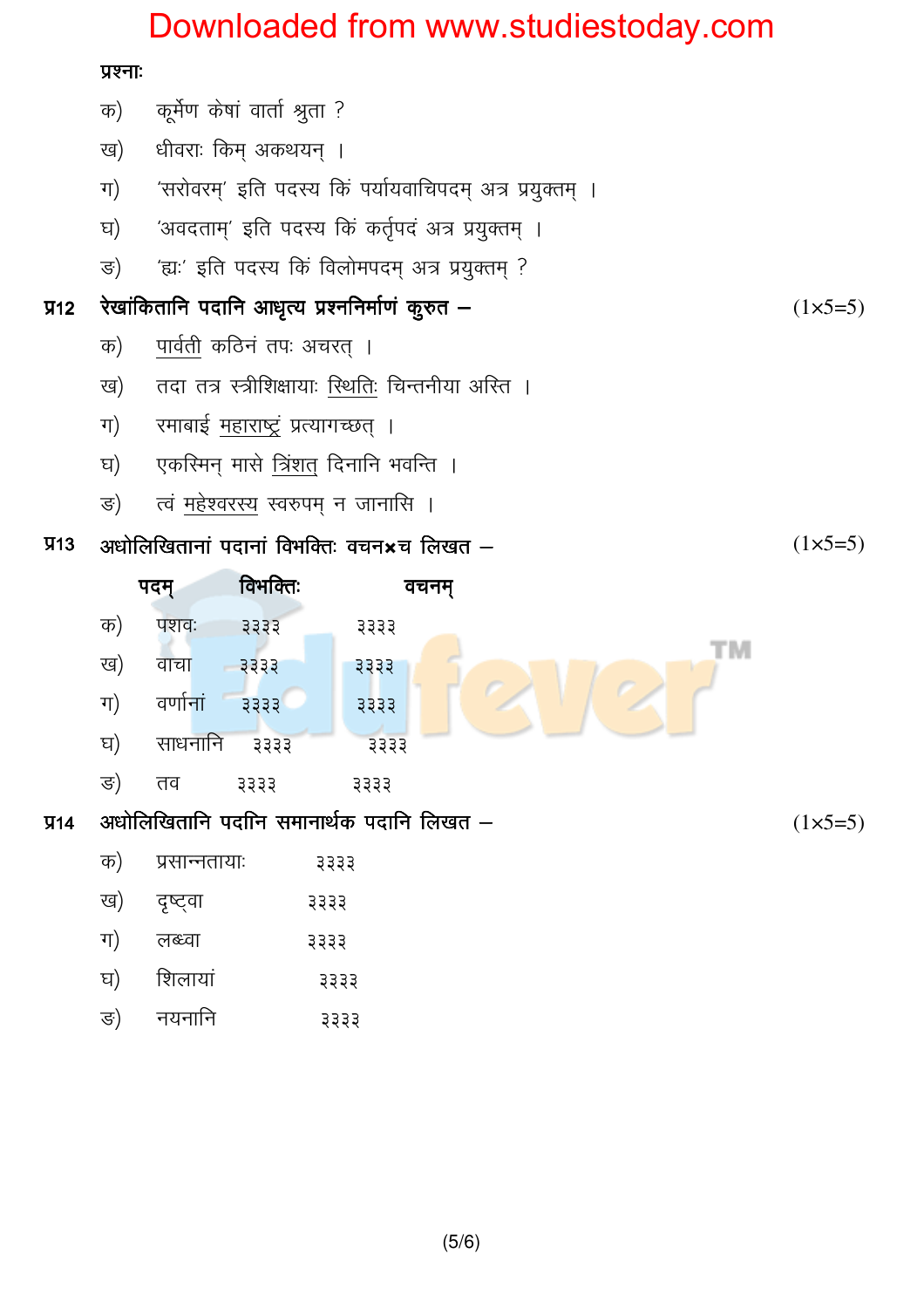# Downloaded from www.studiestoday.com

### प्रश्नाः

|           | क)                          | कूर्मेण केषां वार्ता श्रुता ?                            |    |                 |  |  |  |
|-----------|-----------------------------|----------------------------------------------------------|----|-----------------|--|--|--|
|           | ख)                          | धीवराः किम् अकथयन् ।                                     |    |                 |  |  |  |
|           | ग)                          | 'सरोवरम्' इति पदस्य किं पर्यायवाचिपदम् अत्र प्रयुक्तम् । |    |                 |  |  |  |
|           | घ)                          | 'अवदताम्' इति पदस्य किं कर्तृपदं अत्र प्रयुक्तम् ।       |    |                 |  |  |  |
|           | ङ)                          | 'ह्यः' इति पदस्य किं विलोमपदम् अत्र प्रयुक्तम् ?         |    |                 |  |  |  |
| $\Psi$ 12 |                             | रेखांकितानि पदानि आधृत्य प्रश्ननिर्माणं कुरुत –          |    |                 |  |  |  |
|           | क)                          | पार्वती कठिनं तपः अचरत् ।                                |    |                 |  |  |  |
|           | ख)                          | तदा तत्र स्त्रीशिक्षायाः स्थितिः चिन्तनीया अस्ति ।       |    |                 |  |  |  |
|           | ग)                          | रमाबाई <u>महा</u> राष्ट्रं प्रत्यागच्छत् ।               |    |                 |  |  |  |
|           | घ)                          | एकस्मिन् मासे त्रिंशत् दिनानि भवन्ति ।                   |    |                 |  |  |  |
|           | ङ)                          | त्वं महेश्वरस्य स्वरुपम् न जानासि ।                      |    |                 |  |  |  |
| $\Psi$ 13 |                             | अधोलिखितानां पदानां विभक्तिः वचन $\star$ च लिखत $-$      |    |                 |  |  |  |
|           | पदम्                        | वचनम्                                                    |    |                 |  |  |  |
|           | क)                          | पशवः<br>3333<br>३३३३                                     |    |                 |  |  |  |
|           | ख)                          | वाचा<br>3333<br>३३३३                                     | ΤM |                 |  |  |  |
|           | ग)                          | वर्णानां<br>$3333$<br>3333                               |    |                 |  |  |  |
|           | घ)                          | साधनानि<br>३३३३<br>३३३३                                  |    |                 |  |  |  |
|           | ङ)                          | तव<br>3333<br>३३३३                                       |    |                 |  |  |  |
| $\Psi$ 14 |                             | अधोलिखितानि पदानि समानार्थक पदानि लिखत –                 |    | $(1\times 5=5)$ |  |  |  |
|           | क)<br>प्रसान्नतायाः<br>३३३३ |                                                          |    |                 |  |  |  |

- ख) दृष्ट्वा ३३३३
- ग) लब्ध्वा ३३३३
- शिलायां घ) ३३३३
- नयनानि ङ) ३३३३